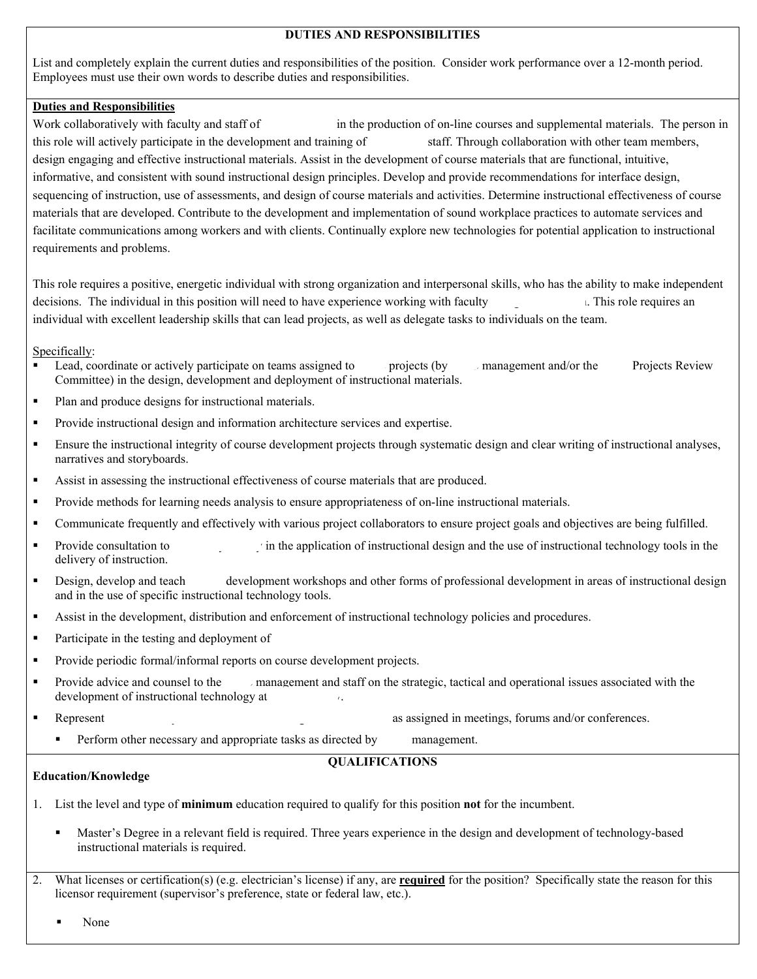# **DUTIES AND RESPONSIBILITIES**

List and completely explain the current duties and responsibilities of the position. Consider work performance over a 12-month period. Employees must use their own words to describe duties and responsibilities.

## **Duties and Responsibilities**

Work collaboratively with faculty and staff of  $\cdot$  in the production of on-line courses and supplemental materials. The person in this role will actively participate in the development and training of staff. Through collaboration with other team members, design engaging and effective instructional materials. Assist in the development of course materials that are functional, intuitive, informative, and consistent with sound instructional design principles. Develop and provide recommendations for interface design, sequencing of instruction, use of assessments, and design of course materials and activities. Determine instructional effectiveness of course materials that are developed. Contribute to the development and implementation of sound workplace practices to automate services and facilitate communications among workers and with clients. Continually explore new technologies for potential application to instructional requirements and problems.

This role requires a positive, energetic individual with strong organization and interpersonal skills, who has the ability to make independent decisions. The individual in this position will need to have experience working with faculty in his role requires an individual with excellent leadership skills that can lead projects, as well as delegate tasks to individuals on the team.

Specifically:

- Lead, coordinate or actively participate on teams assigned to  $\Box$  projects (by  $\Box$  management and/or the Projects Review Committee) in the design, development and deployment of instructional materials.
- Plan and produce designs for instructional materials.
- Provide instructional design and information architecture services and expertise.
- Ensure the instructional integrity of course development projects through systematic design and clear writing of instructional analyses, narratives and storyboards.
- Assist in assessing the instructional effectiveness of course materials that are produced.
- **Provide methods for learning needs analysis to ensure appropriateness of on-line instructional materials.**
- Communicate frequently and effectively with various project collaborators to ensure project goals and objectives are being fulfilled.
- Provide consultation to  $\cdot$  in the application of instructional design and the use of instructional technology tools in the delivery of instruction.
- **•** Design, develop and teach development workshops and other forms of professional development in areas of instructional design and in the use of specific instructional technology tools.
- Assist in the development, distribution and enforcement of instructional technology policies and procedures.
- **Participate in the testing and deployment of**
- **Provide periodic formal/informal reports on course development projects.**
- Provide advice and counsel to the  $\Box$  management and staff on the strategic, tactical and operational issues associated with the development of instructional technology at  $\theta$ .
- Represent the University, OIT, Extended Learning and ITRC as assigned in meetings, forums and/or conferences.
	- Perform other necessary and appropriate tasks as directed by management.

## **QUALIFICATIONS**

## **Education/Knowledge**

- 1. List the level and type of **minimum** education required to qualify for this position **not** for the incumbent.
	- Master's Degree in a relevant field is required. Three years experience in the design and development of technology-based instructional materials is required.
- 2. What licenses or certification(s) (e.g. electrician's license) if any, are **required** for the position? Specifically state the reason for this licensor requirement (supervisor's preference, state or federal law, etc.).

None